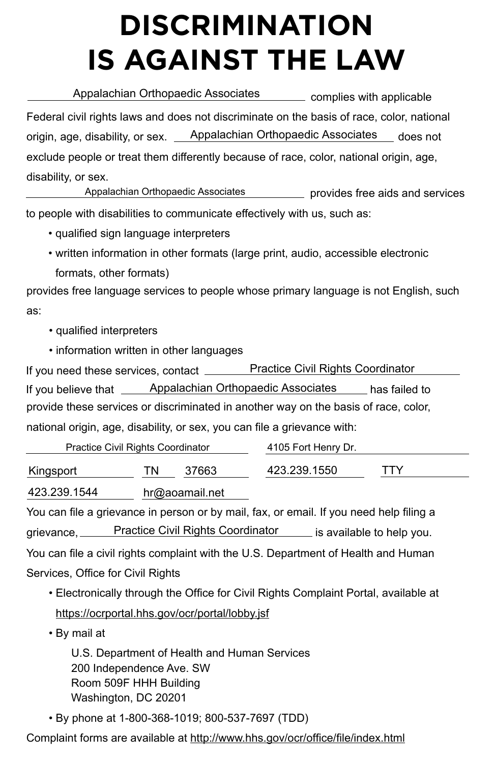to people with disabilities to communicate effectively with us, such as:

- qualified sign language interpreters
- written information in other formats (large print, audio, accessible electronic
	- formats, other formats)

provides free language services to people whose primary language is not English, such as:

- qualified interpreters
- information written in other languages

Appalachian Orthopaedic Associates **Entity complies with applicable** Federal civil rights laws and does not discriminate on the basis of race, color, national origin, age, disability, or sex. <u>Appalachian Orthopaedic Associates</u> does not exclude people or treat them differently because of race, color, national origin, age, disability, or sex.

**Example 3** provides free aids and services Appalachian Orthopaedic Associates

If you need these services, contact \_\_\_\_\_\_\_ If you believe that <u>Appalachian Orthopaedic Associates</u> has failed to provide these services or discriminated in another way on the basis of race, color, national origin, age, disability, or sex, you can file a grievance with: Practice Civil Rights Coordinator

## **DISCRIMINATION IS AGAINST THE LAW**

Services, Office for Civil Rights

• Electronically through the Office for Civil Rights Complaint Portal, available at

https://ocrportal.hhs.gov/ocr/portal/lobby.jsf

• By mail at

U.S. Department of Health and Human Services 200 Independence Ave. SW Room 509F HHH Building Washington, DC 20201

| <b>Practice Civil Rights Coordinator</b>                                                |                                          |                |              | 4105 Fort Henry Dr. |                           |  |
|-----------------------------------------------------------------------------------------|------------------------------------------|----------------|--------------|---------------------|---------------------------|--|
| Kingsport                                                                               | ΤN                                       | 37663          | 423.239.1550 |                     | TTY                       |  |
| 423.239.1544                                                                            |                                          | hr@aoamail.net |              |                     |                           |  |
| You can file a grievance in person or by mail, fax, or email. If you need help filing a |                                          |                |              |                     |                           |  |
| grievance, $\equiv$                                                                     | <b>Practice Civil Rights Coordinator</b> |                |              |                     | is available to help you. |  |
| You can file a civil rights complaint with the U.S. Department of Health and Human      |                                          |                |              |                     |                           |  |

• By phone at 1-800-368-1019; 800-537-7697 (TDD)

Complaint forms are available at http://www.hhs.gov/ocr/office/file/index.html